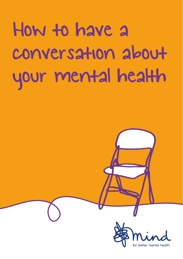How to have a conversation about your mental health

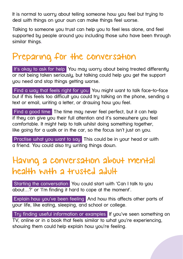It is normal to worry about telling someone how you feel but trying to deal with things on your own can make things feel worse.

Talking to someone you trust can help you to feel less alone, and feel supported by people around you including those who have been through similar things**.**

# Preparing for the conversation

It's okay to ask for help You may worry about being treated differently or not being taken seriously, but talking could help you get the support you need and stop things getting worse.

 Find a way that feels right for you You might want to talk face-to-face but if this feels too difficult you could try talking on the phone, sending a text or email, writing a letter, or drawing how you feel.

Find a good time The time may never feel perfect, but it can help if they can give you their full attention and it's somewhere you feel comfortable. It might help to talk whilst doing something together, like going for a walk or in the car, so the focus isn't just on you.

Practise what you want to say This could be in your head or with a friend. You could also try writing things down.

### Having a conversation about mental health with a trusted adult

 Starting the conversation You could start with 'Can I talk to you about…?' or 'I'm finding it hard to cope at the moment'.

 Explain how you've been feeling And how this affects other parts of your life, like eating, sleeping, and school or college.

 Try finding useful information or examples If you've seen something on TV, online or in a book that feels similar to what you're experiencing. showing them could help explain how you're feeling.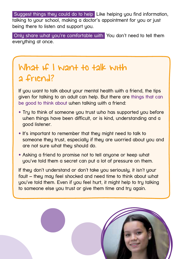Suggest things they could do to help Like helping you find information. talking to your school, making a doctor's appointment for you or just being there to listen and support you.

Only share what you're comfortable with You don't need to tell them everything at once.

# What if I want to talk with a friend?

If you want to talk about your mental health with a friend, the tips given for talking to an adult can help. But there are **things that can be good to think about** when talking with a friend:

- Try to think of someone you trust who has supported you before when things have been difficult, or is kind, understanding and a good listener.
- It's important to remember that they might need to talk to someone they trust, especially if they are worried about you and are not sure what they should do.
- Asking a friend to promise not to tell anyone or keep what you've told them a secret can put a lot of pressure on them.

If they don't understand or don't take you seriously, it isn't your fault – they may feel shocked and need time to think about what you've told them. Even if you feel hurt, it might help to try talking to someone else you trust or give them time and try again.